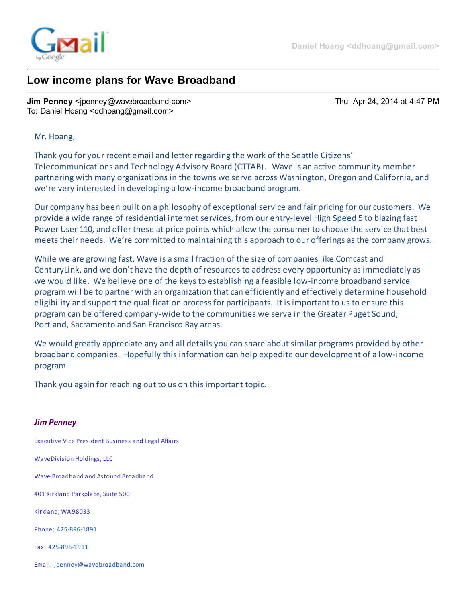

## Low income plans for Wave Broadband

Jim Penney <ipenney@wavebroadband.com> Thu, Apr 24, 2014 at 4:47 PM To: Daniel Hoang <ddhoang@gmail.com>

## Mr. Hoang,

Thank you for your recent email and letter regarding the work of the Seattle Citizens' Telecommunications and Technology Advisory Board (CTTAB). Wave is an active community member partnering with many organizations in the towns we serve across Washington, Oregon and California, and we're very interested in developing a low-income broadband program.

Our company has been built on a philosophy of exceptional service and fair pricing for our customers. We provide a wide range of residential internet services, from our entry-level High Speed 5 to blazing fast Power User 110, and offer these at price points which allow the consumer to choose the service that best meets their needs. We're committed to maintaining this approach to our offerings as the company grows.

While we are growing fast, Wave is a small fraction of the size of companies like Comcast and CenturyLink, and we don't have the depth of resources to address every opportunity as immediately as we would like. We believe one of the keys to establishing a feasible low-income broadband service program will be to partner with an organization that can efficiently and effectively determine household eligibility and support the qualification process for participants. It is important to us to ensure this program can be offered company-wide to the communities we serve in the Greater Puget Sound, Portland, Sacramento and San Francisco Bay areas.

We would greatly appreciate any and all details you can share about similar programs provided by other broadband companies. Hopefully this information can help expedite our development of a low-income program.

Thank you again for reaching out to us on this important topic.

## Jim Penney

Executive Vice President Business and Legal Affairs

WaveDivision Holdings, LLC

Wave Broadband and Astound Broadband

401 Kirkland Parkplace, Suite 500

Kirkland, WA 98033

Phone: [425-896-1891](tel:425-896-1891)

Fax: [425-896-1911](tel:425-896-1911)

Email: [jpenney@wavebroadband.com](mailto:jpenney@wavebroadband.com)